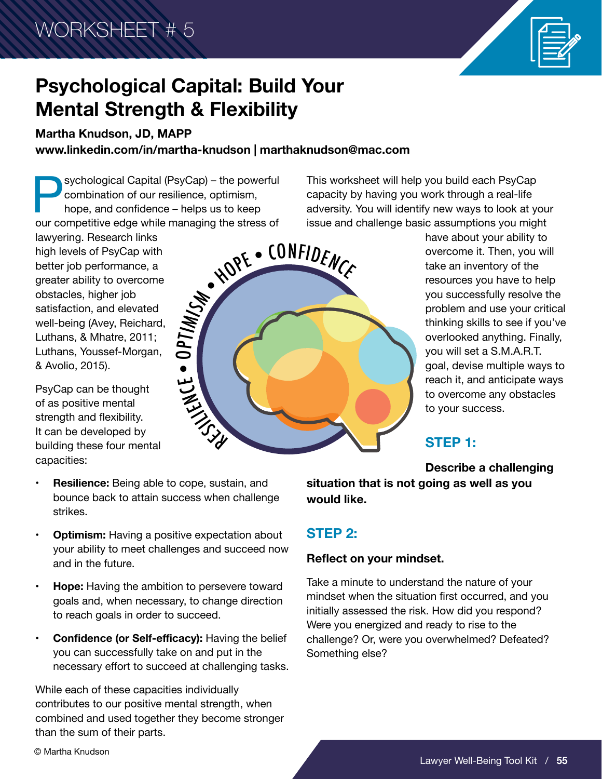

# **Psychological Capital: Build Your Mental Strength & Flexibility**

**Martha Knudson, JD, MAPP**

**www.linkedin.com/in/martha-knudson | marthaknudson@mac.com**

Sychological Capital (PsyCap) – the powerful<br>combination of our resilience, optimism,<br>hope, and confidence – helps us to keep<br>our competitive edge while managing the stress of combination of our resilience, optimism, hope, and confidence – helps us to keep our competitive edge while managing the stress of

lawyering. Research links high levels of PsyCap with better job performance, a greater ability to overcome obstacles, higher job satisfaction, and elevated well-being (Avey, Reichard, Luthans, & Mhatre, 2011; Luthans, Youssef-Morgan, & Avolio, 2015).

PsyCap can be thought of as positive mental strength and flexibility. It can be developed by building these four mental capacities:



This worksheet will help you build each PsyCap capacity by having you work through a real-life adversity. You will identify new ways to look at your issue and challenge basic assumptions you might

> have about your ability to overcome it. Then, you will take an inventory of the resources you have to help you successfully resolve the problem and use your critical thinking skills to see if you've overlooked anything. Finally, you will set a S.M.A.R.T. goal, devise multiple ways to reach it, and anticipate ways to overcome any obstacles to your success.

# **STEP 1:**

**Describe a challenging** 

- **• Resilience:** Being able to cope, sustain, and bounce back to attain success when challenge strikes.
- **• Optimism:** Having a positive expectation about your ability to meet challenges and succeed now and in the future.
- **• Hope:** Having the ambition to persevere toward goals and, when necessary, to change direction to reach goals in order to succeed.
- **• Confidence (or Self-efficacy):** Having the belief you can successfully take on and put in the necessary effort to succeed at challenging tasks.

While each of these capacities individually contributes to our positive mental strength, when combined and used together they become stronger than the sum of their parts.

**situation that is not going as well as you would like.**

# **STEP 2:**

### **Reflect on your mindset.**

Take a minute to understand the nature of your mindset when the situation first occurred, and you initially assessed the risk. How did you respond? Were you energized and ready to rise to the challenge? Or, were you overwhelmed? Defeated? Something else?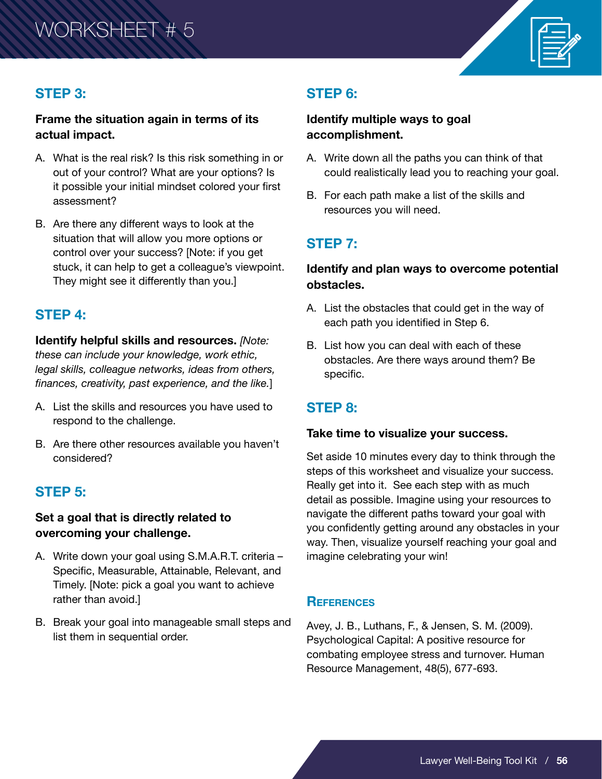

### **STEP 3:**

#### **Frame the situation again in terms of its actual impact.**

- A. What is the real risk? Is this risk something in or out of your control? What are your options? Is it possible your initial mindset colored your first assessment?
- B. Are there any different ways to look at the situation that will allow you more options or control over your success? [Note: if you get stuck, it can help to get a colleague's viewpoint. They might see it differently than you.]

### **STEP 4:**

**Identify helpful skills and resources.** *[Note: these can include your knowledge, work ethic, legal skills, colleague networks, ideas from others, finances, creativity, past experience, and the like.*]

- A. List the skills and resources you have used to respond to the challenge.
- B. Are there other resources available you haven't considered?

### **STEP 5:**

#### **Set a goal that is directly related to overcoming your challenge.**

- A. Write down your goal using S.M.A.R.T. criteria Specific, Measurable, Attainable, Relevant, and Timely. [Note: pick a goal you want to achieve rather than avoid.]
- B. Break your goal into manageable small steps and list them in sequential order.

# **STEP 6:**

#### **Identify multiple ways to goal accomplishment.**

- A. Write down all the paths you can think of that could realistically lead you to reaching your goal.
- B. For each path make a list of the skills and resources you will need.

## **STEP 7:**

### **Identify and plan ways to overcome potential obstacles.**

- A. List the obstacles that could get in the way of each path you identified in Step 6.
- B. List how you can deal with each of these obstacles. Are there ways around them? Be specific.

### **STEP 8:**

#### **Take time to visualize your success.**

Set aside 10 minutes every day to think through the steps of this worksheet and visualize your success. Really get into it. See each step with as much detail as possible. Imagine using your resources to navigate the different paths toward your goal with you confidently getting around any obstacles in your way. Then, visualize yourself reaching your goal and imagine celebrating your win!

#### **References**

Avey, J. B., Luthans, F., & Jensen, S. M. (2009). Psychological Capital: A positive resource for combating employee stress and turnover. Human Resource Management, 48(5), 677-693.